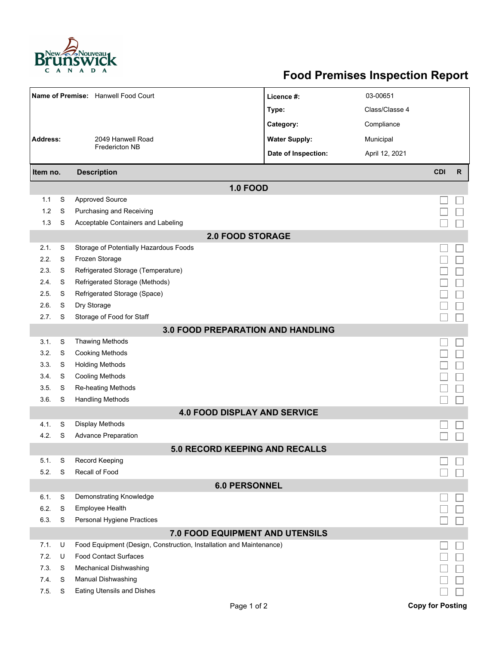

## **Food Premises Inspection Report**

| Name of Premise: Hanwell Food Court      |        |                                                                     | Licence #:           | 03-00651       |                         |              |  |  |  |  |  |
|------------------------------------------|--------|---------------------------------------------------------------------|----------------------|----------------|-------------------------|--------------|--|--|--|--|--|
|                                          |        |                                                                     | Type:                | Class/Classe 4 |                         |              |  |  |  |  |  |
|                                          |        |                                                                     | Category:            | Compliance     |                         |              |  |  |  |  |  |
| <b>Address:</b><br>2049 Hanwell Road     |        |                                                                     | <b>Water Supply:</b> | Municipal      |                         |              |  |  |  |  |  |
|                                          |        | <b>Fredericton NB</b>                                               | Date of Inspection:  | April 12, 2021 |                         |              |  |  |  |  |  |
|                                          |        |                                                                     |                      |                |                         |              |  |  |  |  |  |
| Item no.                                 |        | <b>Description</b>                                                  |                      |                |                         | $\mathsf{R}$ |  |  |  |  |  |
| <b>1.0 FOOD</b>                          |        |                                                                     |                      |                |                         |              |  |  |  |  |  |
| 1.1                                      | S      | <b>Approved Source</b>                                              |                      |                |                         |              |  |  |  |  |  |
| 1.2                                      | S      | Purchasing and Receiving                                            |                      |                |                         |              |  |  |  |  |  |
| 1.3                                      | S      | Acceptable Containers and Labeling                                  |                      |                |                         |              |  |  |  |  |  |
| <b>2.0 FOOD STORAGE</b>                  |        |                                                                     |                      |                |                         |              |  |  |  |  |  |
| 2.1.                                     | S      | Storage of Potentially Hazardous Foods                              |                      |                |                         |              |  |  |  |  |  |
| 2.2.                                     | S      | Frozen Storage                                                      |                      |                |                         |              |  |  |  |  |  |
| 2.3.                                     | S      | Refrigerated Storage (Temperature)                                  |                      |                |                         |              |  |  |  |  |  |
| 2.4.                                     | S      | Refrigerated Storage (Methods)                                      |                      |                |                         |              |  |  |  |  |  |
| 2.5.                                     | S      | Refrigerated Storage (Space)                                        |                      |                |                         |              |  |  |  |  |  |
| 2.6.                                     | S      | Dry Storage                                                         |                      |                |                         |              |  |  |  |  |  |
| 2.7.                                     | S      | Storage of Food for Staff                                           |                      |                |                         |              |  |  |  |  |  |
| <b>3.0 FOOD PREPARATION AND HANDLING</b> |        |                                                                     |                      |                |                         |              |  |  |  |  |  |
| 3.1.                                     | S      | <b>Thawing Methods</b>                                              |                      |                |                         |              |  |  |  |  |  |
| 3.2.                                     | S      | <b>Cooking Methods</b>                                              |                      |                |                         |              |  |  |  |  |  |
| 3.3.                                     | S      | <b>Holding Methods</b>                                              |                      |                |                         |              |  |  |  |  |  |
| 3.4.                                     | S      | <b>Cooling Methods</b>                                              |                      |                |                         |              |  |  |  |  |  |
| 3.5.<br>3.6.                             | S<br>S | <b>Re-heating Methods</b><br><b>Handling Methods</b>                |                      |                |                         |              |  |  |  |  |  |
|                                          |        | <b>4.0 FOOD DISPLAY AND SERVICE</b>                                 |                      |                |                         |              |  |  |  |  |  |
| 4.1.                                     | S      | <b>Display Methods</b>                                              |                      |                |                         |              |  |  |  |  |  |
| 4.2.                                     | S      | <b>Advance Preparation</b>                                          |                      |                |                         |              |  |  |  |  |  |
|                                          |        | <b>5.0 RECORD KEEPING AND RECALLS</b>                               |                      |                |                         |              |  |  |  |  |  |
| 5.1.                                     | S      | Record Keeping                                                      |                      |                |                         |              |  |  |  |  |  |
| 5.2.                                     | S      | Recall of Food                                                      |                      |                |                         |              |  |  |  |  |  |
|                                          |        | <b>6.0 PERSONNEL</b>                                                |                      |                |                         |              |  |  |  |  |  |
| 6.1.                                     | S      | Demonstrating Knowledge                                             |                      |                |                         |              |  |  |  |  |  |
| 6.2.                                     | S      | <b>Employee Health</b>                                              |                      |                |                         |              |  |  |  |  |  |
| 6.3.                                     | S      | Personal Hygiene Practices                                          |                      |                |                         |              |  |  |  |  |  |
|                                          |        | 7.0 FOOD EQUIPMENT AND UTENSILS                                     |                      |                |                         |              |  |  |  |  |  |
| 7.1.                                     | U      | Food Equipment (Design, Construction, Installation and Maintenance) |                      |                |                         |              |  |  |  |  |  |
| 7.2.                                     | U      | <b>Food Contact Surfaces</b>                                        |                      |                |                         |              |  |  |  |  |  |
| 7.3                                      | S      | Mechanical Dishwashing                                              |                      |                |                         |              |  |  |  |  |  |
| 7.4.                                     | S      | Manual Dishwashing                                                  |                      |                |                         |              |  |  |  |  |  |
| 7.5.                                     | S      | <b>Eating Utensils and Dishes</b>                                   |                      |                |                         |              |  |  |  |  |  |
|                                          |        | Page 1 of 2                                                         |                      |                | <b>Copy for Posting</b> |              |  |  |  |  |  |